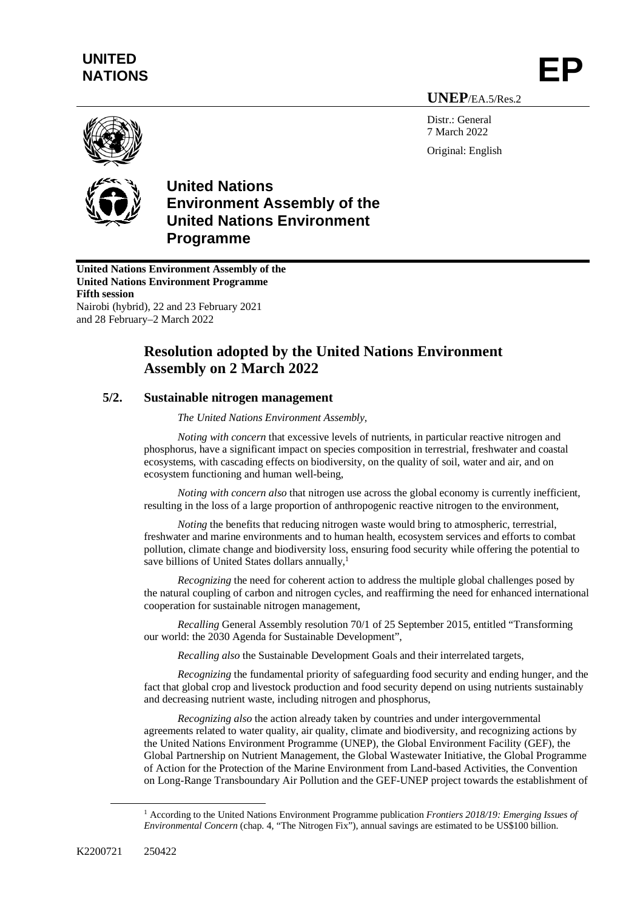## **UNITED**  UNITED<br>NATIONS **EP**

**UNEP**/EA.5/Res.2

Distr · General 7 March 2022 Original: English



## **United Nations Environment Assembly of the United Nations Environment Programme**

**United Nations Environment Assembly of the United Nations Environment Programme Fifth session** Nairobi (hybrid), 22 and 23 February 2021 and 28 February–2 March 2022

## **Resolution adopted by the United Nations Environment Assembly on 2 March 2022**

## **5/2. Sustainable nitrogen management**

*The United Nations Environment Assembly,*

*Noting with concern* that excessive levels of nutrients, in particular reactive nitrogen and phosphorus, have a significant impact on species composition in terrestrial, freshwater and coastal ecosystems, with cascading effects on biodiversity, on the quality of soil, water and air, and on ecosystem functioning and human well-being,

*Noting with concern also* that nitrogen use across the global economy is currently inefficient, resulting in the loss of a large proportion of anthropogenic reactive nitrogen to the environment,

*Noting* the benefits that reducing nitrogen waste would bring to atmospheric, terrestrial, freshwater and marine environments and to human health, ecosystem services and efforts to combat pollution, climate change and biodiversity loss, ensuring food security while offering the potential to save billions of United States dollars annually,<sup>1</sup>

*Recognizing* the need for coherent action to address the multiple global challenges posed by the natural coupling of carbon and nitrogen cycles, and reaffirming the need for enhanced international cooperation for sustainable nitrogen management,

*Recalling* General Assembly resolution 70/1 of 25 September 2015, entitled "Transforming our world: the 2030 Agenda for Sustainable Development",

*Recalling also* the Sustainable Development Goals and their interrelated targets,

*Recognizing* the fundamental priority of safeguarding food security and ending hunger, and the fact that global crop and livestock production and food security depend on using nutrients sustainably and decreasing nutrient waste, including nitrogen and phosphorus,

*Recognizing also* the action already taken by countries and under intergovernmental agreements related to water quality, air quality, climate and biodiversity, and recognizing actions by the United Nations Environment Programme (UNEP), the Global Environment Facility (GEF), the Global Partnership on Nutrient Management, the Global Wastewater Initiative, the Global Programme of Action for the Protection of the Marine Environment from Land-based Activities, the Convention on Long-Range Transboundary Air Pollution and the GEF-UNEP project towards the establishment of

<sup>1</sup> According to the United Nations Environment Programme publication *Frontiers 2018/19: Emerging Issues of Environmental Concern* (chap. 4, "The Nitrogen Fix"), annual savings are estimated to be US\$100 billion.